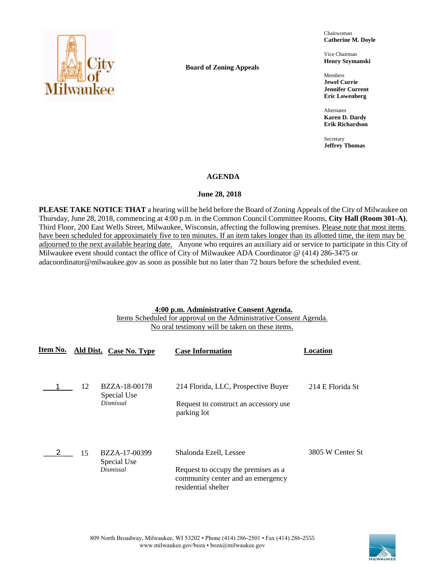

**Board of Zoning Appeals**

Chairwoman **Catherine M. Doyle**

Vice Chairman **Henry Szymanski**

Members **Jewel Currie Jennifer Current Eric Lowenberg**

Alternates **Karen D. Dardy Erik Richardson**

Secretary **Jeffrey Thomas**

## **AGENDA**

## **June 28, 2018**

**PLEASE TAKE NOTICE THAT** a hearing will be held before the Board of Zoning Appeals of the City of Milwaukee on Thursday, June 28, 2018, commencing at 4:00 p.m. in the Common Council Committee Rooms, **City Hall (Room 301-A)**, Third Floor, 200 East Wells Street, Milwaukee, Wisconsin, affecting the following premises. Please note that most items have been scheduled for approximately five to ten minutes. If an item takes longer than its allotted time, the item may be adjourned to the next available hearing date. Anyone who requires an auxiliary aid or service to participate in this City of Milwaukee event should contact the office of City of Milwaukee ADA Coordinator @ (414) 286-3475 or adacoordinator@milwaukee.gov as soon as possible but no later than 72 hours before the scheduled event.

## **4:00 p.m. Administrative Consent Agenda.**

Items Scheduled for approval on the Administrative Consent Agenda. No oral testimony will be taken on these items.

| Ite <u>m No.</u> |    | Ald Dist. Case No. Type                          | <b>Case Information</b>                                                                                                   | Location         |
|------------------|----|--------------------------------------------------|---------------------------------------------------------------------------------------------------------------------------|------------------|
|                  | 12 | <b>BZZA-18-00178</b><br>Special Use<br>Dismissal | 214 Florida, LLC, Prospective Buyer<br>Request to construct an accessory use<br>parking lot                               | 214 E Florida St |
|                  | 15 | BZZA-17-00399<br>Special Use<br>Dismissal        | Shalonda Ezell, Lessee<br>Request to occupy the premises as a<br>community center and an emergency<br>residential shelter | 3805 W Center St |

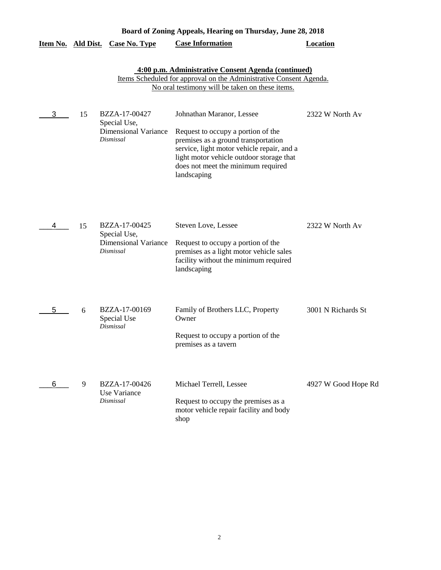| Board of Zoning Appeals, Hearing on Thursday, June 28, 2018 |    |                                                                           |                                                                                                                                                                                                                                                       |                     |  |
|-------------------------------------------------------------|----|---------------------------------------------------------------------------|-------------------------------------------------------------------------------------------------------------------------------------------------------------------------------------------------------------------------------------------------------|---------------------|--|
| <u>Item No. Ald Dist.</u>                                   |    | <b>Case No. Type</b>                                                      | <b>Case Information</b>                                                                                                                                                                                                                               | <b>Location</b>     |  |
|                                                             |    |                                                                           | 4:00 p.m. Administrative Consent Agenda (continued)<br>Items Scheduled for approval on the Administrative Consent Agenda.<br>No oral testimony will be taken on these items.                                                                          |                     |  |
| 3                                                           | 15 | BZZA-17-00427<br>Special Use,<br><b>Dimensional Variance</b><br>Dismissal | Johnathan Maranor, Lessee<br>Request to occupy a portion of the<br>premises as a ground transportation<br>service, light motor vehicle repair, and a<br>light motor vehicle outdoor storage that<br>does not meet the minimum required<br>landscaping | 2322 W North Av     |  |
| 4                                                           | 15 | BZZA-17-00425<br>Special Use,<br><b>Dimensional Variance</b><br>Dismissal | Steven Love, Lessee<br>Request to occupy a portion of the<br>premises as a light motor vehicle sales<br>facility without the minimum required<br>landscaping                                                                                          | 2322 W North Av     |  |
| 5                                                           | 6  | BZZA-17-00169<br>Special Use<br>Dismissal                                 | Family of Brothers LLC, Property<br>Owner<br>Request to occupy a portion of the<br>premises as a tavern                                                                                                                                               | 3001 N Richards St  |  |
| 6                                                           | 9  | BZZA-17-00426<br>Use Variance<br>Dismissal                                | Michael Terrell, Lessee<br>Request to occupy the premises as a<br>motor vehicle repair facility and body<br>shop                                                                                                                                      | 4927 W Good Hope Rd |  |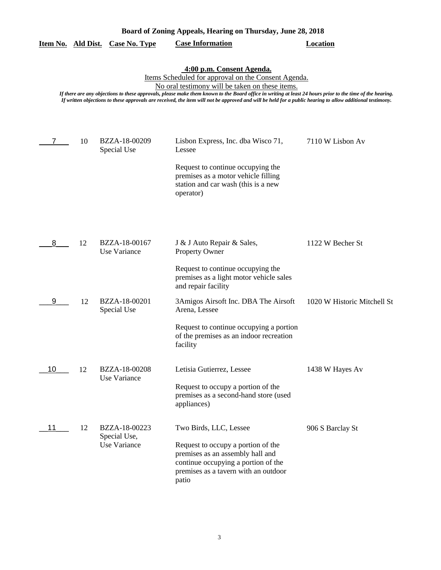|                                                                                                                                                                                                                                                                                                                                                                                                                                                               |    | <u>Item No. Ald Dist. Case No. Type</u>       | <b>Case Information</b>                                                                                                                                                                  | <b>Location</b>             |  |
|---------------------------------------------------------------------------------------------------------------------------------------------------------------------------------------------------------------------------------------------------------------------------------------------------------------------------------------------------------------------------------------------------------------------------------------------------------------|----|-----------------------------------------------|------------------------------------------------------------------------------------------------------------------------------------------------------------------------------------------|-----------------------------|--|
| 4:00 p.m. Consent Agenda.<br>Items Scheduled for approval on the Consent Agenda.<br>No oral testimony will be taken on these items.<br>If there are any objections to these approvals, please make them known to the Board office in writing at least 24 hours prior to the time of the hearing.<br>If written objections to these approvals are received, the item will not be approved and will be held for a public hearing to allow additional testimony. |    |                                               |                                                                                                                                                                                          |                             |  |
| 7                                                                                                                                                                                                                                                                                                                                                                                                                                                             | 10 | BZZA-18-00209<br>Special Use                  | Lisbon Express, Inc. dba Wisco 71,<br>Lessee<br>Request to continue occupying the<br>premises as a motor vehicle filling<br>station and car wash (this is a new<br>operator)             | 7110 W Lisbon Av            |  |
| 8                                                                                                                                                                                                                                                                                                                                                                                                                                                             | 12 | BZZA-18-00167<br>Use Variance                 | J & J Auto Repair & Sales,<br><b>Property Owner</b><br>Request to continue occupying the<br>premises as a light motor vehicle sales                                                      | 1122 W Becher St            |  |
| 9                                                                                                                                                                                                                                                                                                                                                                                                                                                             | 12 | BZZA-18-00201<br>Special Use                  | and repair facility<br>3Amigos Airsoft Inc. DBA The Airsoft<br>Arena, Lessee<br>Request to continue occupying a portion<br>of the premises as an indoor recreation<br>facility           | 1020 W Historic Mitchell St |  |
| 10                                                                                                                                                                                                                                                                                                                                                                                                                                                            | 12 | BZZA-18-00208<br>Use Variance                 | Letisia Gutierrez, Lessee<br>Request to occupy a portion of the<br>premises as a second-hand store (used<br>appliances)                                                                  | 1438 W Hayes Av             |  |
| 11                                                                                                                                                                                                                                                                                                                                                                                                                                                            | 12 | BZZA-18-00223<br>Special Use,<br>Use Variance | Two Birds, LLC, Lessee<br>Request to occupy a portion of the<br>premises as an assembly hall and<br>continue occupying a portion of the<br>premises as a tavern with an outdoor<br>patio | 906 S Barclay St            |  |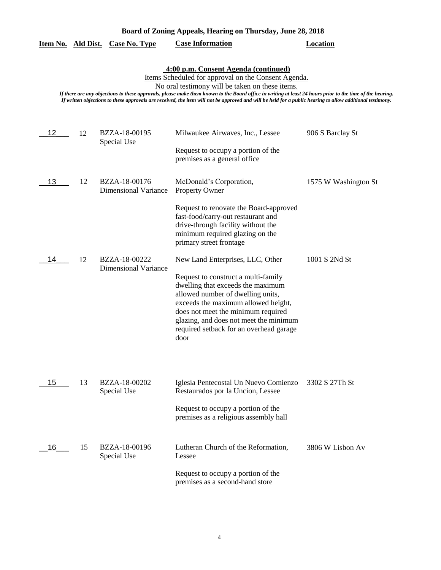| Board of Zoning Appeals, Hearing on Thursday, June 28, 2018 |  |  |  |
|-------------------------------------------------------------|--|--|--|
|                                                             |  |  |  |

|  |  | Item No. Ald Dist. Case No. Type | <b>Case Information</b> | <b>Location</b> |
|--|--|----------------------------------|-------------------------|-----------------|
|--|--|----------------------------------|-------------------------|-----------------|

# **4:00 p.m. Consent Agenda (continued)**

Items Scheduled for approval on the Consent Agenda.

No oral testimony will be taken on these items.

*If there are any objections to these approvals, please make them known to the Board office in writing at least 24 hours prior to the time of the hearing. If written objections to these approvals are received, the item will not be approved and will be held for a public hearing to allow additional testimony.*

| 12 | 12 | BZZA-18-00195<br>Special Use                 | Milwaukee Airwaves, Inc., Lessee<br>Request to occupy a portion of the<br>premises as a general office                                                                                                                                                                                  | 906 S Barclay St     |
|----|----|----------------------------------------------|-----------------------------------------------------------------------------------------------------------------------------------------------------------------------------------------------------------------------------------------------------------------------------------------|----------------------|
| 13 | 12 | BZZA-18-00176<br><b>Dimensional Variance</b> | McDonald's Corporation,<br>Property Owner                                                                                                                                                                                                                                               | 1575 W Washington St |
|    |    |                                              | Request to renovate the Board-approved<br>fast-food/carry-out restaurant and<br>drive-through facility without the<br>minimum required glazing on the<br>primary street frontage                                                                                                        |                      |
| 14 | 12 | BZZA-18-00222                                | New Land Enterprises, LLC, Other                                                                                                                                                                                                                                                        | 1001 S 2Nd St        |
|    |    | <b>Dimensional Variance</b>                  | Request to construct a multi-family<br>dwelling that exceeds the maximum<br>allowed number of dwelling units,<br>exceeds the maximum allowed height,<br>does not meet the minimum required<br>glazing, and does not meet the minimum<br>required setback for an overhead garage<br>door |                      |
| 15 | 13 | BZZA-18-00202<br>Special Use                 | Iglesia Pentecostal Un Nuevo Comienzo<br>Restaurados por la Uncion, Lessee                                                                                                                                                                                                              | 3302 S 27Th St       |
|    |    |                                              | Request to occupy a portion of the<br>premises as a religious assembly hall                                                                                                                                                                                                             |                      |
| 16 | 15 | BZZA-18-00196<br>Special Use                 | Lutheran Church of the Reformation,<br>Lessee                                                                                                                                                                                                                                           | 3806 W Lisbon Av     |
|    |    |                                              | Request to occupy a portion of the<br>premises as a second-hand store                                                                                                                                                                                                                   |                      |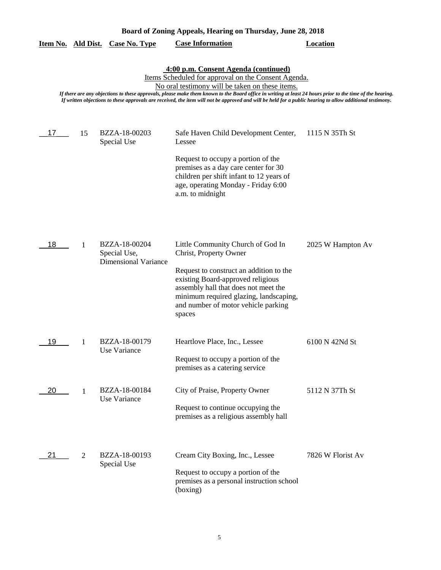| Board of Zoning Appeals, Hearing on Thursday, June 28, 2018                                                                                                                                                                                                                                                                                                                                                                                                              |    |                                                              |                                                                                                                                                                                                                                                                                |                   |  |  |
|--------------------------------------------------------------------------------------------------------------------------------------------------------------------------------------------------------------------------------------------------------------------------------------------------------------------------------------------------------------------------------------------------------------------------------------------------------------------------|----|--------------------------------------------------------------|--------------------------------------------------------------------------------------------------------------------------------------------------------------------------------------------------------------------------------------------------------------------------------|-------------------|--|--|
| <u>Item No. Ald Dist.</u>                                                                                                                                                                                                                                                                                                                                                                                                                                                |    | <b>Case No. Type</b>                                         | <b>Case Information</b>                                                                                                                                                                                                                                                        | <b>Location</b>   |  |  |
| 4:00 p.m. Consent Agenda (continued)<br>Items Scheduled for approval on the Consent Agenda.<br>No oral testimony will be taken on these items.<br>If there are any objections to these approvals, please make them known to the Board office in writing at least 24 hours prior to the time of the hearing.<br>If written objections to these approvals are received, the item will not be approved and will be held for a public hearing to allow additional testimony. |    |                                                              |                                                                                                                                                                                                                                                                                |                   |  |  |
| 17                                                                                                                                                                                                                                                                                                                                                                                                                                                                       | 15 | BZZA-18-00203<br>Special Use                                 | Safe Haven Child Development Center,<br>Lessee<br>Request to occupy a portion of the<br>premises as a day care center for 30<br>children per shift infant to 12 years of<br>age, operating Monday - Friday 6:00<br>a.m. to midnight                                            | 1115 N 35Th St    |  |  |
| 18                                                                                                                                                                                                                                                                                                                                                                                                                                                                       | 1  | BZZA-18-00204<br>Special Use,<br><b>Dimensional Variance</b> | Little Community Church of God In<br>Christ, Property Owner<br>Request to construct an addition to the<br>existing Board-approved religious<br>assembly hall that does not meet the<br>minimum required glazing, landscaping,<br>and number of motor vehicle parking<br>spaces | 2025 W Hampton Av |  |  |
| 19                                                                                                                                                                                                                                                                                                                                                                                                                                                                       | 1  | BZZA-18-00179<br>Use Variance                                | Heartlove Place, Inc., Lessee<br>Request to occupy a portion of the<br>premises as a catering service                                                                                                                                                                          | 6100 N 42Nd St    |  |  |
| 20                                                                                                                                                                                                                                                                                                                                                                                                                                                                       | -1 | BZZA-18-00184<br>Use Variance                                | City of Praise, Property Owner<br>Request to continue occupying the<br>premises as a religious assembly hall                                                                                                                                                                   | 5112 N 37Th St    |  |  |
| 21                                                                                                                                                                                                                                                                                                                                                                                                                                                                       | 2  | BZZA-18-00193<br>Special Use                                 | Cream City Boxing, Inc., Lessee<br>Request to occupy a portion of the<br>premises as a personal instruction school<br>(boxing)                                                                                                                                                 | 7826 W Florist Av |  |  |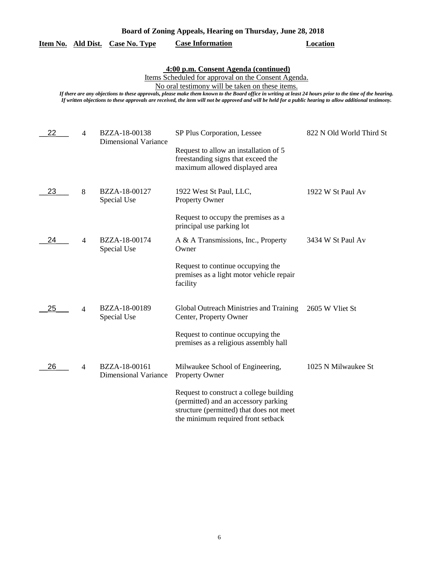| Board of Zoning Appeals, Hearing on Thursday, June 28, 2018 |  |  |  |
|-------------------------------------------------------------|--|--|--|
|                                                             |  |  |  |

|  | Item No. Ald Dist. Case No. Type | <b>Case Information</b> | Location |
|--|----------------------------------|-------------------------|----------|
|  |                                  |                         |          |

# **4:00 p.m. Consent Agenda (continued)**

Items Scheduled for approval on the Consent Agenda.

No oral testimony will be taken on these items.

*If there are any objections to these approvals, please make them known to the Board office in writing at least 24 hours prior to the time of the hearing. If written objections to these approvals are received, the item will not be approved and will be held for a public hearing to allow additional testimony.*

| 22 | $\overline{4}$ | BZZA-18-00138<br><b>Dimensional Variance</b> | SP Plus Corporation, Lessee<br>Request to allow an installation of 5<br>freestanding signs that exceed the<br>maximum allowed displayed area                      | 822 N Old World Third St |
|----|----------------|----------------------------------------------|-------------------------------------------------------------------------------------------------------------------------------------------------------------------|--------------------------|
| 23 | 8              | BZZA-18-00127<br>Special Use                 | 1922 West St Paul, LLC,<br><b>Property Owner</b>                                                                                                                  | 1922 W St Paul Av        |
|    |                |                                              | Request to occupy the premises as a<br>principal use parking lot                                                                                                  |                          |
| 24 | 4              | BZZA-18-00174<br>Special Use                 | A & A Transmissions, Inc., Property<br>Owner                                                                                                                      | 3434 W St Paul Av        |
|    |                |                                              | Request to continue occupying the<br>premises as a light motor vehicle repair<br>facility                                                                         |                          |
| 25 | $\overline{4}$ | BZZA-18-00189<br>Special Use                 | Global Outreach Ministries and Training<br>Center, Property Owner                                                                                                 | 2605 W Vliet St          |
|    |                |                                              | Request to continue occupying the<br>premises as a religious assembly hall                                                                                        |                          |
| 26 | $\overline{4}$ | BZZA-18-00161<br><b>Dimensional Variance</b> | Milwaukee School of Engineering,<br><b>Property Owner</b>                                                                                                         | 1025 N Milwaukee St      |
|    |                |                                              | Request to construct a college building<br>(permitted) and an accessory parking<br>structure (permitted) that does not meet<br>the minimum required front setback |                          |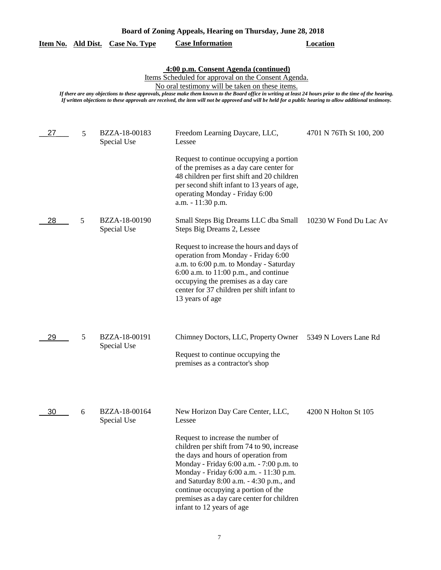|    |   | <u>Item No. Ald Dist. Case No. Type</u> | <b>Case Information</b>                                                                                                                                                                                                                                                                                                                                                                                                                                                  | <b>Location</b>         |
|----|---|-----------------------------------------|--------------------------------------------------------------------------------------------------------------------------------------------------------------------------------------------------------------------------------------------------------------------------------------------------------------------------------------------------------------------------------------------------------------------------------------------------------------------------|-------------------------|
|    |   |                                         | 4:00 p.m. Consent Agenda (continued)<br>Items Scheduled for approval on the Consent Agenda.<br>No oral testimony will be taken on these items.<br>If there are any objections to these approvals, please make them known to the Board office in writing at least 24 hours prior to the time of the hearing.<br>If written objections to these approvals are received, the item will not be approved and will be held for a public hearing to allow additional testimony. |                         |
| 27 | 5 | BZZA-18-00183<br>Special Use            | Freedom Learning Daycare, LLC,<br>Lessee<br>Request to continue occupying a portion<br>of the premises as a day care center for<br>48 children per first shift and 20 children<br>per second shift infant to 13 years of age,<br>operating Monday - Friday 6:00<br>a.m. - 11:30 p.m.                                                                                                                                                                                     | 4701 N 76Th St 100, 200 |
| 28 | 5 | BZZA-18-00190<br>Special Use            | Small Steps Big Dreams LLC dba Small<br>Steps Big Dreams 2, Lessee<br>Request to increase the hours and days of<br>operation from Monday - Friday 6:00<br>a.m. to 6:00 p.m. to Monday - Saturday<br>$6:00$ a.m. to $11:00$ p.m., and continue<br>occupying the premises as a day care<br>center for 37 children per shift infant to<br>13 years of age                                                                                                                   | 10230 W Fond Du Lac Av  |
| 29 | 5 | BZZA-18-00191<br>Special Use            | Chimney Doctors, LLC, Property Owner<br>Request to continue occupying the<br>premises as a contractor's shop                                                                                                                                                                                                                                                                                                                                                             | 5349 N Lovers Lane Rd   |
| 30 | 6 | BZZA-18-00164<br>Special Use            | New Horizon Day Care Center, LLC,<br>Lessee<br>Request to increase the number of<br>children per shift from 74 to 90, increase<br>the days and hours of operation from<br>Monday - Friday 6:00 a.m. - 7:00 p.m. to<br>Monday - Friday 6:00 a.m. - 11:30 p.m.<br>and Saturday 8:00 a.m. - 4:30 p.m., and<br>continue occupying a portion of the<br>premises as a day care center for children<br>infant to 12 years of age                                                | 4200 N Holton St 105    |

7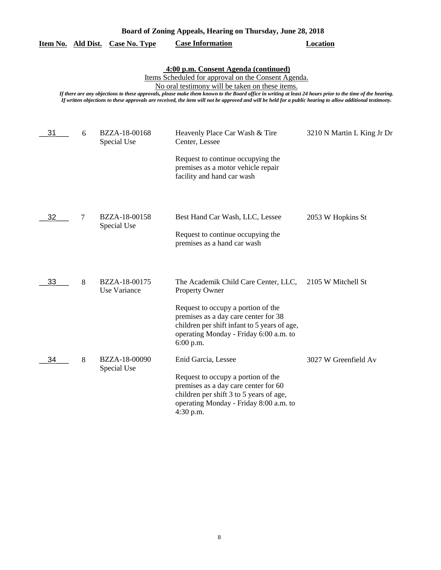|           |   | <u>Item No. Ald Dist. Case No. Type</u> | <b>Case Information</b>                                                                                                                                                                                                                                                                                                                                                                                                                                                  | <b>Location</b>            |
|-----------|---|-----------------------------------------|--------------------------------------------------------------------------------------------------------------------------------------------------------------------------------------------------------------------------------------------------------------------------------------------------------------------------------------------------------------------------------------------------------------------------------------------------------------------------|----------------------------|
|           |   |                                         | 4:00 p.m. Consent Agenda (continued)<br>Items Scheduled for approval on the Consent Agenda.<br>No oral testimony will be taken on these items.<br>If there are any objections to these approvals, please make them known to the Board office in writing at least 24 hours prior to the time of the hearing.<br>If written objections to these approvals are received, the item will not be approved and will be held for a public hearing to allow additional testimony. |                            |
| 31        | 6 | BZZA-18-00168<br>Special Use            | Heavenly Place Car Wash & Tire<br>Center, Lessee<br>Request to continue occupying the<br>premises as a motor vehicle repair<br>facility and hand car wash                                                                                                                                                                                                                                                                                                                | 3210 N Martin L King Jr Dr |
| 32        | 7 | BZZA-18-00158<br>Special Use            | Best Hand Car Wash, LLC, Lessee<br>Request to continue occupying the<br>premises as a hand car wash                                                                                                                                                                                                                                                                                                                                                                      | 2053 W Hopkins St          |
| 33        | 8 | BZZA-18-00175<br>Use Variance           | The Academik Child Care Center, LLC,<br><b>Property Owner</b><br>Request to occupy a portion of the<br>premises as a day care center for 38<br>children per shift infant to 5 years of age,<br>operating Monday - Friday 6:00 a.m. to                                                                                                                                                                                                                                    | 2105 W Mitchell St         |
| <u>34</u> | 8 | BZZA-18-00090<br>Special Use            | $6:00$ p.m.<br>Enid Garcia, Lessee<br>Request to occupy a portion of the<br>premises as a day care center for 60<br>children per shift 3 to 5 years of age,<br>operating Monday - Friday 8:00 a.m. to<br>4:30 p.m.                                                                                                                                                                                                                                                       | 3027 W Greenfield Av       |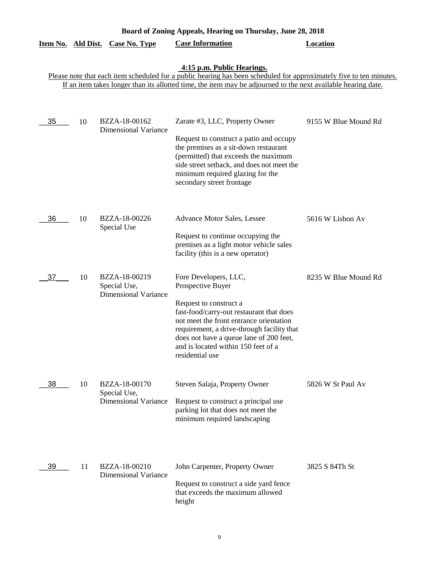| Board of Zoning Appeals, Hearing on Thursday, June 28, 2018 |    |                                                              |                                                                                                                                                                                                                                                                                                                |                      |  |  |
|-------------------------------------------------------------|----|--------------------------------------------------------------|----------------------------------------------------------------------------------------------------------------------------------------------------------------------------------------------------------------------------------------------------------------------------------------------------------------|----------------------|--|--|
| Item No. Ald Dist.                                          |    | <b>Case No. Type</b>                                         | <b>Case Information</b>                                                                                                                                                                                                                                                                                        | <b>Location</b>      |  |  |
|                                                             |    |                                                              | 4:15 p.m. Public Hearings.<br>Please note that each item scheduled for a public hearing has been scheduled for approximately five to ten minutes.<br>If an item takes longer than its allotted time, the item may be adjourned to the next available hearing date.                                             |                      |  |  |
| 35                                                          | 10 | BZZA-18-00162<br><b>Dimensional Variance</b>                 | Zarate #3, LLC, Property Owner<br>Request to construct a patio and occupy<br>the premises as a sit-down restaurant<br>(permitted) that exceeds the maximum<br>side street setback, and does not meet the<br>minimum required glazing for the<br>secondary street frontage                                      | 9155 W Blue Mound Rd |  |  |
| 36                                                          | 10 | BZZA-18-00226<br>Special Use                                 | Advance Motor Sales, Lessee<br>Request to continue occupying the<br>premises as a light motor vehicle sales<br>facility (this is a new operator)                                                                                                                                                               | 5616 W Lisbon Av     |  |  |
| 37                                                          | 10 | BZZA-18-00219<br>Special Use,<br><b>Dimensional Variance</b> | Fore Developers, LLC,<br>Prospective Buyer<br>Request to construct a<br>fast-food/carry-out restaurant that does<br>not meet the front entrance orientation<br>requirement, a drive-through facility that<br>does not have a queue lane of 200 feet,<br>and is located within 150 feet of a<br>residential use | 8235 W Blue Mound Rd |  |  |
| 38                                                          | 10 | BZZA-18-00170<br>Special Use,<br><b>Dimensional Variance</b> | Steven Salaja, Property Owner<br>Request to construct a principal use<br>parking lot that does not meet the<br>minimum required landscaping                                                                                                                                                                    | 5826 W St Paul Av    |  |  |
| 39                                                          | 11 | BZZA-18-00210<br><b>Dimensional Variance</b>                 | John Carpenter, Property Owner<br>Request to construct a side yard fence<br>that exceeds the maximum allowed<br>height                                                                                                                                                                                         | 3825 S 84Th St       |  |  |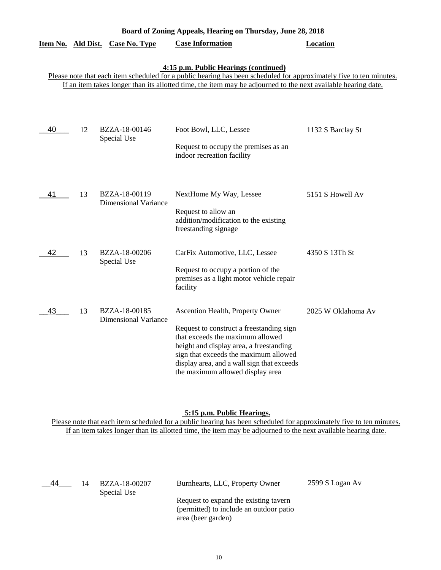| Item No. | Ald Dist. | Case No. Type                                | <b>Case Information</b>                                                                                                                                                                                                                                                                | Location           |
|----------|-----------|----------------------------------------------|----------------------------------------------------------------------------------------------------------------------------------------------------------------------------------------------------------------------------------------------------------------------------------------|--------------------|
|          |           |                                              | 4:15 p.m. Public Hearings (continued)<br>Please note that each item scheduled for a public hearing has been scheduled for approximately five to ten minutes.<br>If an item takes longer than its allotted time, the item may be adjourned to the next available hearing date.          |                    |
| 40       | 12        | BZZA-18-00146<br>Special Use                 | Foot Bowl, LLC, Lessee<br>Request to occupy the premises as an<br>indoor recreation facility                                                                                                                                                                                           | 1132 S Barclay St  |
| 41       | 13        | BZZA-18-00119<br><b>Dimensional Variance</b> | NextHome My Way, Lessee<br>Request to allow an<br>addition/modification to the existing<br>freestanding signage                                                                                                                                                                        | 5151 S Howell Av   |
| 42       | 13        | BZZA-18-00206<br>Special Use                 | CarFix Automotive, LLC, Lessee<br>Request to occupy a portion of the<br>premises as a light motor vehicle repair<br>facility                                                                                                                                                           | 4350 S 13Th St     |
| 43       | 13        | BZZA-18-00185<br><b>Dimensional Variance</b> | Ascention Health, Property Owner<br>Request to construct a freestanding sign<br>that exceeds the maximum allowed<br>height and display area, a freestanding<br>sign that exceeds the maximum allowed<br>display area, and a wall sign that exceeds<br>the maximum allowed display area | 2025 W Oklahoma Av |

#### **5:15 p.m. Public Hearings.**

Please note that each item scheduled for a public hearing has been scheduled for approximately five to ten minutes. If an item takes longer than its allotted time, the item may be adjourned to the next available hearing date.

| 44 | 14 | BZZA-18-00207<br>Special Use | Burnhearts, LLC, Property Owner                                                                        | 2599 S Logan Av |
|----|----|------------------------------|--------------------------------------------------------------------------------------------------------|-----------------|
|    |    |                              | Request to expand the existing tavern<br>(permitted) to include an outdoor patio<br>area (beer garden) |                 |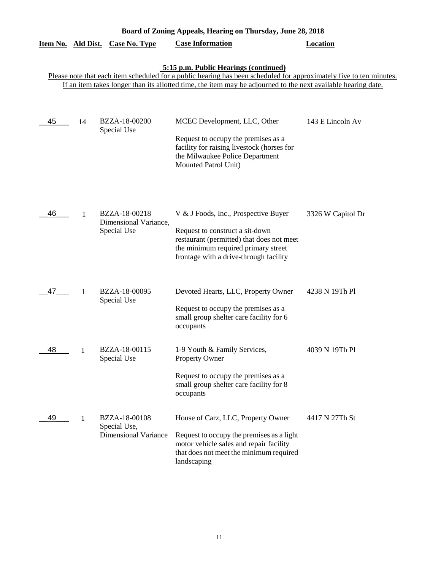| Board of Zoning Appeals, Hearing on Thursday, June 28, 2018 |    |                                                              |                                                                                                                                                                                                                                                                               |                   |  |
|-------------------------------------------------------------|----|--------------------------------------------------------------|-------------------------------------------------------------------------------------------------------------------------------------------------------------------------------------------------------------------------------------------------------------------------------|-------------------|--|
| Item No. Ald Dist.                                          |    | <b>Case No. Type</b>                                         | <b>Case Information</b>                                                                                                                                                                                                                                                       | <b>Location</b>   |  |
|                                                             |    |                                                              | 5:15 p.m. Public Hearings (continued)<br>Please note that each item scheduled for a public hearing has been scheduled for approximately five to ten minutes.<br>If an item takes longer than its allotted time, the item may be adjourned to the next available hearing date. |                   |  |
| 45                                                          | 14 | BZZA-18-00200<br>Special Use                                 | MCEC Development, LLC, Other<br>Request to occupy the premises as a<br>facility for raising livestock (horses for<br>the Milwaukee Police Department<br>Mounted Patrol Unit)                                                                                                  | 143 E Lincoln Av  |  |
| 46                                                          | 1  | BZZA-18-00218<br>Dimensional Variance,<br>Special Use        | V & J Foods, Inc., Prospective Buyer<br>Request to construct a sit-down<br>restaurant (permitted) that does not meet<br>the minimum required primary street<br>frontage with a drive-through facility                                                                         | 3326 W Capitol Dr |  |
| 47                                                          | 1  | BZZA-18-00095<br>Special Use                                 | Devoted Hearts, LLC, Property Owner<br>Request to occupy the premises as a<br>small group shelter care facility for 6<br>occupants                                                                                                                                            | 4238 N 19Th Pl    |  |
| 48                                                          | 1  | BZZA-18-00115<br>Special Use                                 | 1-9 Youth & Family Services,<br>Property Owner<br>Request to occupy the premises as a<br>small group shelter care facility for 8<br>occupants                                                                                                                                 | 4039 N 19Th Pl    |  |
| 49                                                          | 1  | BZZA-18-00108<br>Special Use,<br><b>Dimensional Variance</b> | House of Carz, LLC, Property Owner<br>Request to occupy the premises as a light<br>motor vehicle sales and repair facility<br>that does not meet the minimum required<br>landscaping                                                                                          | 4417 N 27Th St    |  |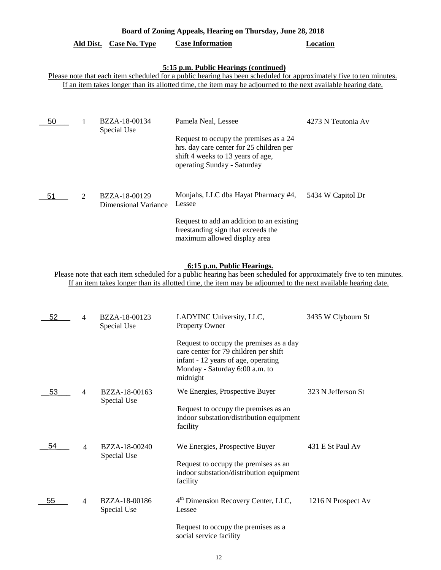# **Ald Dist. Case No. Type Case Information Location**

# **5:15 p.m. Public Hearings (continued)**

Please note that each item scheduled for a public hearing has been scheduled for approximately five to ten minutes. If an item takes longer than its allotted time, the item may be adjourned to the next available hearing date.

| 50 |                             | BZZA-18-00134<br>Special Use          | Pamela Neal, Lessee                                                                                                                                    | 4273 N Teutonia Av |
|----|-----------------------------|---------------------------------------|--------------------------------------------------------------------------------------------------------------------------------------------------------|--------------------|
|    |                             |                                       | Request to occupy the premises as a 24<br>hrs. day care center for 25 children per<br>shift 4 weeks to 13 years of age,<br>operating Sunday - Saturday |                    |
| 51 | $\mathcal{D}_{\mathcal{L}}$ | BZZA-18-00129<br>Dimensional Variance | Monjahs, LLC dba Hayat Pharmacy #4,<br>Lessee                                                                                                          | 5434 W Capitol Dr  |
|    |                             |                                       | Request to add an addition to an existing<br>freestanding sign that exceeds the<br>maximum allowed display area                                        |                    |

# **6:15 p.m. Public Hearings.**

Please note that each item scheduled for a public hearing has been scheduled for approximately five to ten minutes. If an item takes longer than its allotted time, the item may be adjourned to the next available hearing date.

| 52 | 4 | BZZA-18-00123<br>Special Use | LADYINC University, LLC,<br><b>Property Owner</b>                                                                                                                     | 3435 W Clybourn St |
|----|---|------------------------------|-----------------------------------------------------------------------------------------------------------------------------------------------------------------------|--------------------|
|    |   |                              | Request to occupy the premises as a day<br>care center for 79 children per shift<br>infant - 12 years of age, operating<br>Monday - Saturday 6:00 a.m. to<br>midnight |                    |
| 53 | 4 | BZZA-18-00163<br>Special Use | We Energies, Prospective Buyer                                                                                                                                        | 323 N Jefferson St |
|    |   |                              | Request to occupy the premises as an<br>indoor substation/distribution equipment<br>facility                                                                          |                    |
| 54 | 4 | BZZA-18-00240<br>Special Use | We Energies, Prospective Buyer                                                                                                                                        | 431 E St Paul Av   |
|    |   |                              | Request to occupy the premises as an<br>indoor substation/distribution equipment<br>facility                                                                          |                    |
| 55 | 4 | BZZA-18-00186<br>Special Use | 4 <sup>th</sup> Dimension Recovery Center, LLC,<br>Lessee                                                                                                             | 1216 N Prospect Av |
|    |   |                              | Request to occupy the premises as a<br>social service facility                                                                                                        |                    |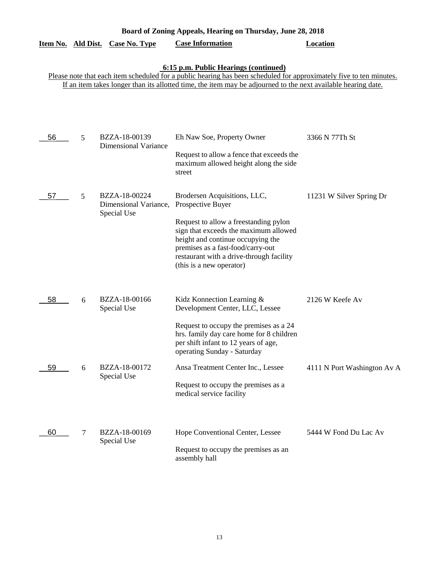|    |   | Item No. Ald Dist. Case No. Type                      | <b>Case Information</b>                                                                                                                                                                                                                                                               | <b>Location</b>             |
|----|---|-------------------------------------------------------|---------------------------------------------------------------------------------------------------------------------------------------------------------------------------------------------------------------------------------------------------------------------------------------|-----------------------------|
|    |   |                                                       | 6:15 p.m. Public Hearings (continued)<br>Please note that each item scheduled for a public hearing has been scheduled for approximately five to ten minutes.<br>If an item takes longer than its allotted time, the item may be adjourned to the next available hearing date.         |                             |
| 56 | 5 | BZZA-18-00139<br><b>Dimensional Variance</b>          | Eh Naw Soe, Property Owner<br>Request to allow a fence that exceeds the<br>maximum allowed height along the side<br>street                                                                                                                                                            | 3366 N 77Th St              |
| 57 | 5 | BZZA-18-00224<br>Dimensional Variance,<br>Special Use | Brodersen Acquisitions, LLC,<br>Prospective Buyer<br>Request to allow a freestanding pylon<br>sign that exceeds the maximum allowed<br>height and continue occupying the<br>premises as a fast-food/carry-out<br>restaurant with a drive-through facility<br>(this is a new operator) | 11231 W Silver Spring Dr    |
| 58 | 6 | BZZA-18-00166<br>Special Use                          | Kidz Konnection Learning &<br>Development Center, LLC, Lessee<br>Request to occupy the premises as a 24<br>hrs. family day care home for 8 children<br>per shift infant to 12 years of age,<br>operating Sunday - Saturday                                                            | 2126 W Keefe Av             |
| 59 | 6 | BZZA-18-00172<br>Special Use                          | Ansa Treatment Center Inc., Lessee<br>Request to occupy the premises as a<br>medical service facility                                                                                                                                                                                 | 4111 N Port Washington Av A |
| 60 | 7 | BZZA-18-00169<br>Special Use                          | Hope Conventional Center, Lessee<br>Request to occupy the premises as an<br>assembly hall                                                                                                                                                                                             | 5444 W Fond Du Lac Av       |